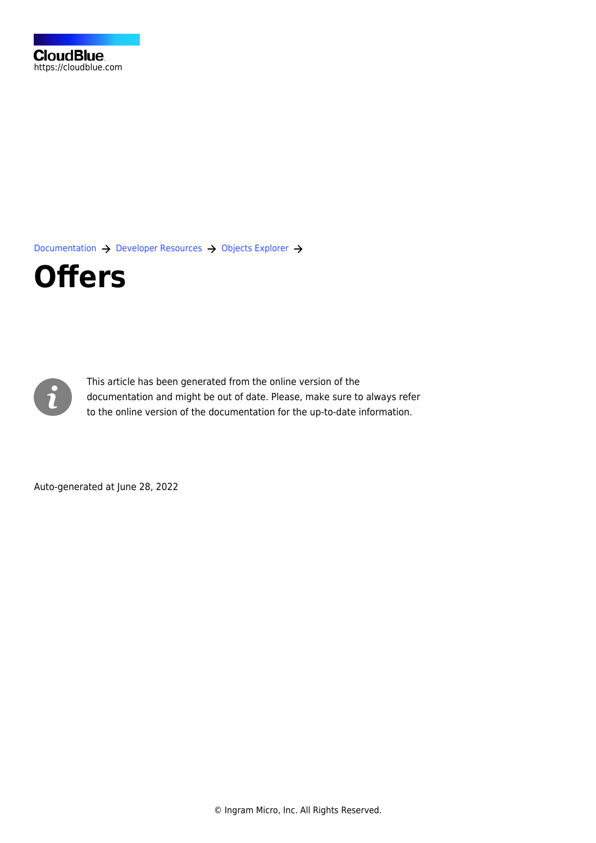[Documentation](https://connect.cloudblue.com/documentation)  $\rightarrow$  [Developer Resources](https://connect.cloudblue.com/community/developers/)  $\rightarrow$  [Objects Explorer](https://connect.cloudblue.com/community/developers/objects/)  $\rightarrow$ 

## **[Offers](https://connect.cloudblue.com/community/developers/objects/offers/)**



This article has been generated from the online version of the documentation and might be out of date. Please, make sure to always refer to the online version of the documentation for the up-to-date information.

Auto-generated at June 28, 2022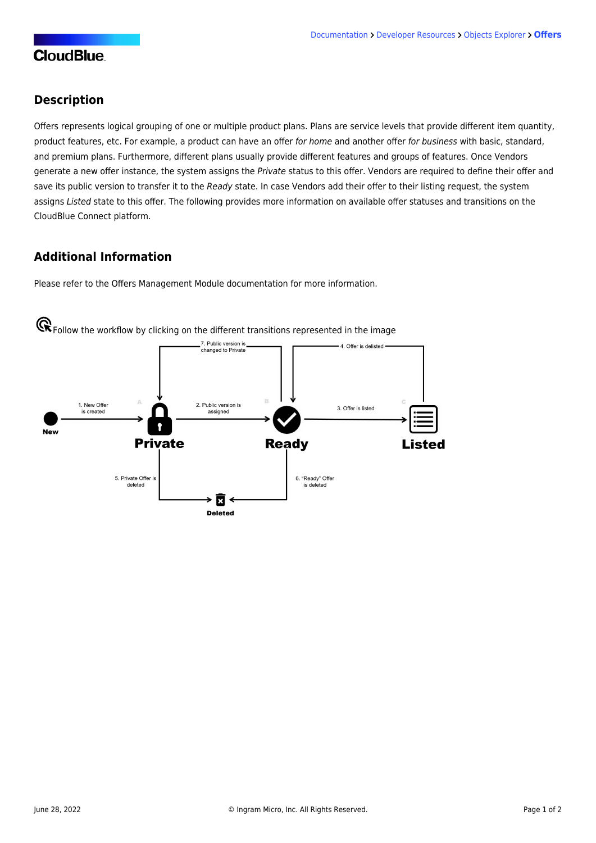## **CloudBlue**

## **Description**

Offers represents logical grouping of one or multiple product plans. Plans are service levels that provide different item quantity, product features, etc. For example, a product can have an offer for home and another offer for business with basic, standard, and premium plans. Furthermore, different plans usually provide different features and groups of features. Once Vendors generate a new offer instance, the system assigns the Private status to this offer. Vendors are required to define their offer and save its public version to transfer it to the Ready state. In case Vendors add their offer to their listing request, the system assigns Listed state to this offer. The following provides more information on available offer statuses and transitions on the CloudBlue Connect platform.

## **Additional Information**

Please refer to the [Offers Management Module](https://connect.cloudblue.com/community/modules/offers/) documentation for more information.